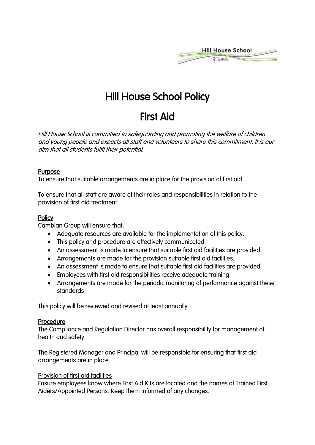

# Hill House School Policy

# First Aid

Hill House School is committed to safeguarding and promoting the welfare of children and young people and expects all staff and volunteers to share this commitment. It is our aim that all students fulfil their potential.

## **Purpose**

To ensure that suitable arrangements are in place for the provision of first aid.

To ensure that all staff are aware of their roles and responsibilities in relation to the provision of first aid treatment.

## **Policy**

Cambian Group will ensure that:

- Adequate resources are available for the implementation of this policy.
- This policy and procedure are effectively communicated.
- An assessment is made to ensure that suitable first aid facilities are provided.
- Arrangements are made for the provision suitable first aid facilities.
- An assessment is made to ensure that suitable first aid facilities are provided.
- Employees with first aid responsibilities receive adequate training.
- Arrangements are made for the periodic monitoring of performance against these standards

This policy will be reviewed and revised at least annually.

## **Procedure**

The Compliance and Regulation Director has overall responsibility for management of health and safety.

The Registered Manager and Principal will be responsible for ensuring that first aid arrangements are in place.

#### Provision of first aid facilities

Ensure employees know where First Aid Kits are located and the names of Trained First Aiders/Appointed Persons. Keep them informed of any changes.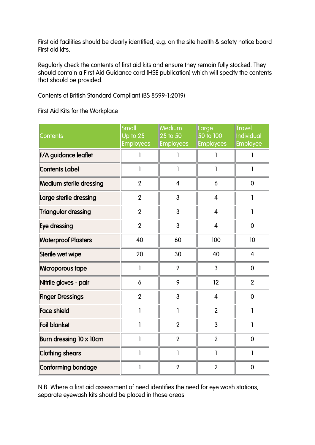First aid facilities should be clearly identified, e.g. on the site health & safety notice board First aid kits.

Regularly check the contents of first aid kits and ensure they remain fully stocked. They should contain a First Aid Guidance card (HSE publication) which will specify the contents that should be provided.

Contents of British Standard Compliant (BS 8599-1:2019)

## First Aid Kits for the Workplace

| <b>Contents</b>             | Small<br>Up to 25<br><b>Employees</b> | Medium<br>25 to 50<br><b>Employees</b> | Large<br>50 to 100<br><b>Employees</b> | <b>Travel</b><br>Individual<br><b>Employee</b> |
|-----------------------------|---------------------------------------|----------------------------------------|----------------------------------------|------------------------------------------------|
| <b>F/A guidance leaflet</b> | 1                                     | 1                                      |                                        |                                                |
| <b>Contents Label</b>       | 1                                     | 1                                      | 1                                      | 1                                              |
| Medium sterile dressing     | $\overline{2}$                        | $\overline{4}$                         | 6                                      | $\mathbf 0$                                    |
| Large sterile dressing      | $\overline{2}$                        | 3                                      | $\overline{4}$                         | 1                                              |
| <b>Triangular dressing</b>  | $\overline{2}$                        | 3                                      | $\overline{4}$                         | 1                                              |
| Eye dressing                | $\overline{2}$                        | 3                                      | $\overline{4}$                         | $\mathbf 0$                                    |
| <b>Waterproof Plasters</b>  | 40                                    | 60                                     | 100                                    | 10                                             |
| Sterile wet wipe            | 20                                    | 30                                     | 40                                     | 4                                              |
| Microporous tape            | 1                                     | $\overline{2}$                         | 3                                      | $\mathbf 0$                                    |
| Nitrile gloves - pair       | 6                                     | 9                                      | 12                                     | $\overline{2}$                                 |
| <b>Finger Dressings</b>     | $\overline{2}$                        | 3                                      | $\overline{4}$                         | $\mathbf 0$                                    |
| <b>Face shield</b>          | 1                                     | 1                                      | $\overline{2}$                         | 1                                              |
| Foil blanket                | 1                                     | $\overline{2}$                         | 3                                      | 1                                              |
| Burn dressing 10 x 10cm     | $\mathsf{I}$                          | $\overline{2}$                         | $\overline{2}$                         | $\mathbf 0$                                    |
| <b>Clothing shears</b>      | 1                                     | 1                                      | $\mathbf{I}$                           | 1                                              |
| Conforming bandage          | $\mathbf{1}$                          | $\overline{2}$                         | $\overline{2}$                         | $\mathbf 0$                                    |

N.B. Where a first aid assessment of need identifies the need for eye wash stations, separate eyewash kits should be placed in those areas